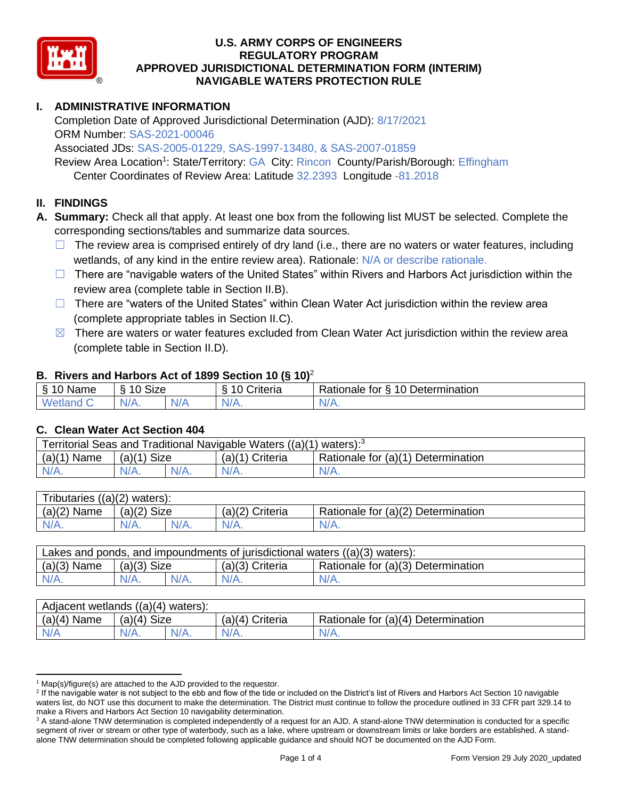

## **U.S. ARMY CORPS OF ENGINEERS APPROVED JURISDICTIONAL DETERMINATION FORM (INTERIM) NAVIGABLE WATERS PROTECTION RULE REGULATORY PROGRAM**

# **I. ADMINISTRATIVE INFORMATION**

 Completion Date of Approved Jurisdictional Determination (AJD): 8/17/2021 ORM Number: SAS-2021-00046

Associated JDs: SAS-2005-01229, SAS-1997-13480, & SAS-2007-01859

Review Area Location<sup>1</sup>: State/Territory: GA City: Rincon County/Parish/Borough: Effingham Center Coordinates of Review Area: Latitude 32.2393 Longitude -81.2018

# **II. FINDINGS**

 **A. Summary:** Check all that apply. At least one box from the following list MUST be selected. Complete the corresponding sections/tables and summarize data sources.

- $\Box$  The review area is comprised entirely of dry land (i.e., there are no waters or water features, including wetlands, of any kind in the entire review area). Rationale: N/A or describe rationale.
- □ There are "navigable waters of the United States" within Rivers and Harbors Act jurisdiction within the review area (complete table in Section II.B).
- □ There are "waters of the United States" within Clean Water Act jurisdiction within the review area (complete appropriate tables in Section II.C).
- $\boxtimes$  There are waters or water features excluded from Clean Water Act jurisdiction within the review area (complete table in Section II.D).

### **B. Rivers and Harbors Act of 1899 Section 10 (§ 10)**<sup>2</sup>

| δ.<br>⌒<br>Name<br>്ധ | <b>Size</b><br>10 |       | . .<br><i>∶</i> riteria | $\overline{2}$<br>$\overline{\phantom{0}}$<br>Determination<br>-<br>tor<br>Rationale<br>`` |
|-----------------------|-------------------|-------|-------------------------|--------------------------------------------------------------------------------------------|
| <b>Meti</b><br>нгат к | N/L               | $N$ / | N//<br><b>MII</b>       | $N/A$ .                                                                                    |

### **C. Clean Water Act Section 404**

|                                                                                            | Territorial Seas and Traditional Navigable Waters $((a)(1)$ waters): <sup>3</sup> |  |  |  |  |  |  |
|--------------------------------------------------------------------------------------------|-----------------------------------------------------------------------------------|--|--|--|--|--|--|
| (a)(1)<br>Rationale for (a)(1) Determination<br>$(a)(1)$ Size<br>Name<br>$(a)(1)$ Criteria |                                                                                   |  |  |  |  |  |  |
| $N/A$ .<br>$N/A$ .<br>$N/A$ .<br>$N/A$ .                                                   |                                                                                   |  |  |  |  |  |  |

| Tributaries $((a)(2)$ waters): |               |         |                 |                                    |  |  |
|--------------------------------|---------------|---------|-----------------|------------------------------------|--|--|
| $(a)(2)$ Name                  | $(a)(2)$ Size |         | (a)(2) Criteria | Rationale for (a)(2) Determination |  |  |
| $N/A$ .                        | $N/A$ .       | $N/A$ . | $N/A$ .         | N/A.                               |  |  |
|                                |               |         |                 |                                    |  |  |

| Lakes and ponds, and impoundments of jurisdictional waters ((a)(3) waters): |               |         |                   |                                    |  |  |
|-----------------------------------------------------------------------------|---------------|---------|-------------------|------------------------------------|--|--|
| $(a)(3)$ Name                                                               | $(a)(3)$ Size |         | $(a)(3)$ Criteria | Rationale for (a)(3) Determination |  |  |
| $N/A$ .                                                                     | $N/A$ .       | $N/A$ . | $N/A$ .           | $N/A$ .                            |  |  |
|                                                                             |               |         |                   |                                    |  |  |

| $(a)(4)$ Name<br><b>Size</b><br>Rationale for (a)(4) Determination<br>(a)(4) Criteria<br>(a)(4)<br><b>NI/A</b> | Adjacent wetlands $((a)(4)$ waters): |     |         |         |         |  |  |
|----------------------------------------------------------------------------------------------------------------|--------------------------------------|-----|---------|---------|---------|--|--|
|                                                                                                                |                                      |     |         |         |         |  |  |
|                                                                                                                | N/A                                  | VZ. | $N/A$ . | $N/A$ . | $N/A$ . |  |  |

 $1$  Map(s)/figure(s) are attached to the AJD provided to the requestor.

<sup>&</sup>lt;sup>2</sup> If the navigable water is not subject to the ebb and flow of the tide or included on the District's list of Rivers and Harbors Act Section 10 navigable waters list, do NOT use this document to make the determination. The District must continue to follow the procedure outlined in 33 CFR part 329.14 to make a Rivers and Harbors Act Section 10 navigability determination.

<sup>&</sup>lt;sup>3</sup> A stand-alone TNW determination is completed independently of a request for an AJD. A stand-alone TNW determination is conducted for a specific segment of river or stream or other type of waterbody, such as a lake, where upstream or downstream limits or lake borders are established. A stand-alone TNW determination should be completed following applicable guidance and should NOT be documented on the AJD Form.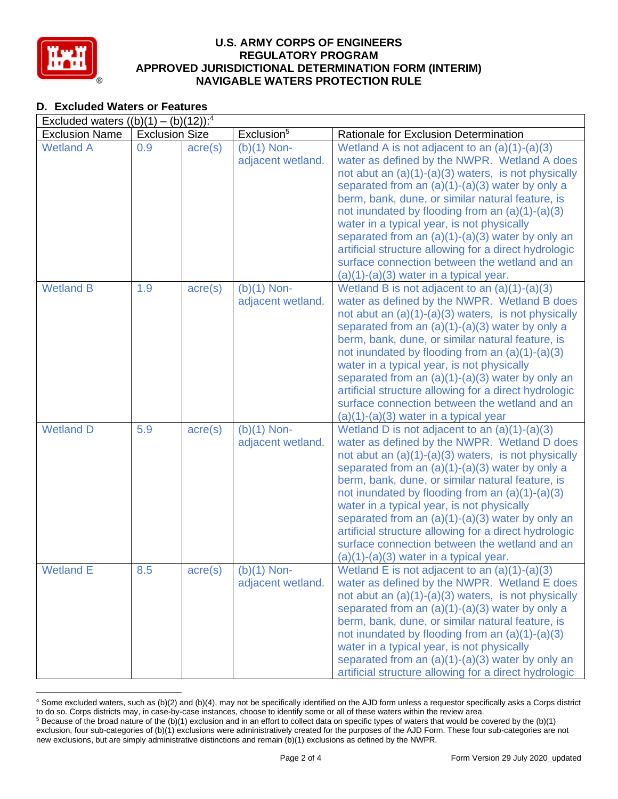

-

### **U.S. ARMY CORPS OF ENGINEERS APPROVED JURISDICTIONAL DETERMINATION FORM (INTERIM) NAVIGABLE WATERS PROTECTION RULE REGULATORY PROGRAM**

| <b>D. Excluded Waters or Features</b>               |                       |                  |                                    |                                                                                                                                                                                                                                                                                                                                                                                                                                                                                                                                                                                  |
|-----------------------------------------------------|-----------------------|------------------|------------------------------------|----------------------------------------------------------------------------------------------------------------------------------------------------------------------------------------------------------------------------------------------------------------------------------------------------------------------------------------------------------------------------------------------------------------------------------------------------------------------------------------------------------------------------------------------------------------------------------|
| Excluded waters $((b)(1) - (b)(12))$ : <sup>4</sup> |                       |                  |                                    |                                                                                                                                                                                                                                                                                                                                                                                                                                                                                                                                                                                  |
| <b>Exclusion Name</b>                               | <b>Exclusion Size</b> |                  | Exclusion <sup>5</sup>             | Rationale for Exclusion Determination                                                                                                                                                                                                                                                                                                                                                                                                                                                                                                                                            |
| <b>Wetland A</b>                                    | 0.9                   | $\text{acre}(s)$ | $(b)(1)$ Non-<br>adjacent wetland. | Wetland A is not adjacent to an $(a)(1)-(a)(3)$<br>water as defined by the NWPR. Wetland A does<br>not abut an $(a)(1)-(a)(3)$ waters, is not physically<br>separated from an $(a)(1)-(a)(3)$ water by only a<br>berm, bank, dune, or similar natural feature, is<br>not inundated by flooding from an $(a)(1)-(a)(3)$<br>water in a typical year, is not physically<br>separated from an $(a)(1)-(a)(3)$ water by only an<br>artificial structure allowing for a direct hydrologic<br>surface connection between the wetland and an<br>$(a)(1)-(a)(3)$ water in a typical year. |
| <b>Wetland B</b>                                    | 1.9                   | $\text{acre}(s)$ | $(b)(1)$ Non-<br>adjacent wetland. | Wetland B is not adjacent to an $(a)(1)-(a)(3)$<br>water as defined by the NWPR. Wetland B does<br>not abut an $(a)(1)-(a)(3)$ waters, is not physically<br>separated from an $(a)(1)-(a)(3)$ water by only a<br>berm, bank, dune, or similar natural feature, is<br>not inundated by flooding from an $(a)(1)-(a)(3)$<br>water in a typical year, is not physically<br>separated from an $(a)(1)-(a)(3)$ water by only an<br>artificial structure allowing for a direct hydrologic<br>surface connection between the wetland and an<br>$(a)(1)-(a)(3)$ water in a typical year  |
| <b>Wetland D</b>                                    | 5.9                   | $\text{acre}(s)$ | $(b)(1)$ Non-<br>adjacent wetland. | Wetland D is not adjacent to an $(a)(1)-(a)(3)$<br>water as defined by the NWPR. Wetland D does<br>not abut an (a)(1)-(a)(3) waters, is not physically<br>separated from an $(a)(1)-(a)(3)$ water by only a<br>berm, bank, dune, or similar natural feature, is<br>not inundated by flooding from an $(a)(1)-(a)(3)$<br>water in a typical year, is not physically<br>separated from an $(a)(1)-(a)(3)$ water by only an<br>artificial structure allowing for a direct hydrologic<br>surface connection between the wetland and an<br>$(a)(1)-(a)(3)$ water in a typical year.   |
| <b>Wetland E</b>                                    | 8.5                   | $\text{acre}(s)$ | $(b)(1)$ Non-<br>adjacent wetland. | Wetland E is not adjacent to an $(a)(1)-(a)(3)$<br>water as defined by the NWPR. Wetland E does<br>not abut an $(a)(1)-(a)(3)$ waters, is not physically<br>separated from an $(a)(1)-(a)(3)$ water by only a<br>berm, bank, dune, or similar natural feature, is<br>not inundated by flooding from an $(a)(1)-(a)(3)$<br>water in a typical year, is not physically<br>separated from an $(a)(1)-(a)(3)$ water by only an<br>artificial structure allowing for a direct hydrologic                                                                                              |

<sup>&</sup>lt;sup>4</sup> Some excluded waters, such as (b)(2) and (b)(4), may not be specifically identified on the AJD form unless a requestor specifically asks a Corps district to do so. Corps districts may, in case-by-case instances, choose to identify some or all of these waters within the review area. to do so. Corps districts may, in case-by-case instances, choose to identify some or all of these waters within the review area.<br><sup>5</sup> Because of the broad nature of the (b)(1) exclusion and in an effort to collect data on s

 exclusion, four sub-categories of (b)(1) exclusions were administratively created for the purposes of the AJD Form. These four sub-categories are not new exclusions, but are simply administrative distinctions and remain (b)(1) exclusions as defined by the NWPR.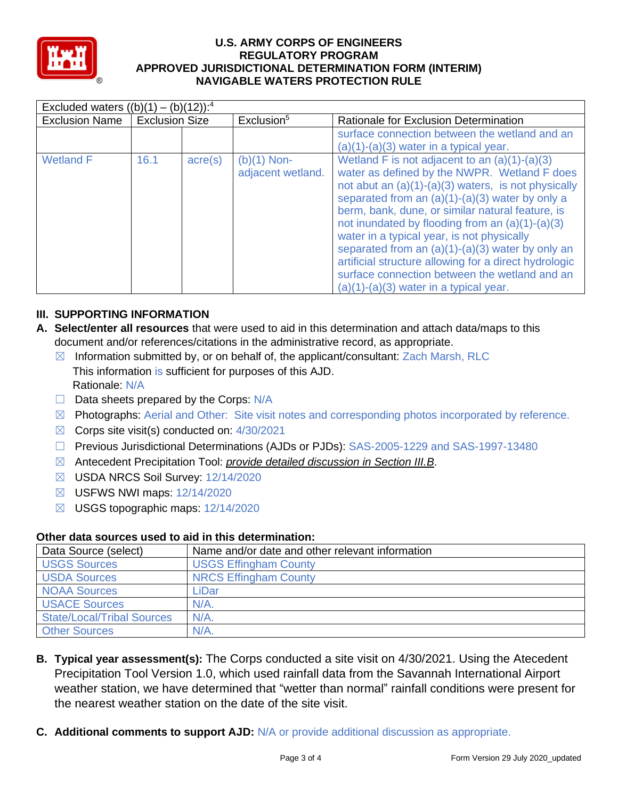

# **U.S. ARMY CORPS OF ENGINEERS APPROVED JURISDICTIONAL DETERMINATION FORM (INTERIM) NAVIGABLE WATERS PROTECTION RULE REGULATORY PROGRAM**

| Excluded waters $((b)(1) - (b)(12))$ : <sup>4</sup> |                       |                  |                                    |                                                                                                                                                                                                                                                                                                                                                                                                                                                                                                                                                                                |  |  |
|-----------------------------------------------------|-----------------------|------------------|------------------------------------|--------------------------------------------------------------------------------------------------------------------------------------------------------------------------------------------------------------------------------------------------------------------------------------------------------------------------------------------------------------------------------------------------------------------------------------------------------------------------------------------------------------------------------------------------------------------------------|--|--|
| <b>Exclusion Name</b>                               | <b>Exclusion Size</b> |                  | Exclusion <sup>5</sup>             | Rationale for Exclusion Determination                                                                                                                                                                                                                                                                                                                                                                                                                                                                                                                                          |  |  |
|                                                     |                       |                  |                                    | surface connection between the wetland and an<br>$(a)(1)-(a)(3)$ water in a typical year.                                                                                                                                                                                                                                                                                                                                                                                                                                                                                      |  |  |
| <b>Wetland F</b>                                    | 16.1                  | $\text{acre}(s)$ | $(b)(1)$ Non-<br>adjacent wetland. | Wetland F is not adjacent to an $(a)(1)-(a)(3)$<br>water as defined by the NWPR. Wetland F does<br>not abut an $(a)(1)-(a)(3)$ waters, is not physically<br>separated from an (a)(1)-(a)(3) water by only a<br>berm, bank, dune, or similar natural feature, is<br>not inundated by flooding from an $(a)(1)-(a)(3)$<br>water in a typical year, is not physically<br>separated from an $(a)(1)-(a)(3)$ water by only an<br>artificial structure allowing for a direct hydrologic<br>surface connection between the wetland and an<br>$(a)(1)-(a)(3)$ water in a typical year. |  |  |

# **III. SUPPORTING INFORMATION**

- **A. Select/enter all resources** that were used to aid in this determination and attach data/maps to this document and/or references/citations in the administrative record, as appropriate.
	- $\boxtimes$  Information submitted by, or on behalf of, the applicant/consultant: Zach Marsh, RLC This information is sufficient for purposes of this AJD. Rationale: N/A
	- □ Data sheets prepared by the Corps: N/A
	- ☒ Photographs: Aerial and Other: Site visit notes and corresponding photos incorporated by reference.
	- $\boxtimes$  Corps site visit(s) conducted on: 4/30/2021
	- ☐ Previous Jurisdictional Determinations (AJDs or PJDs): SAS-2005-1229 and SAS-1997-13480
	- ☒ Antecedent Precipitation Tool: *provide detailed discussion in Section III.B*.
	- ☒ USDA NRCS Soil Survey: 12/14/2020
	- ☒ USFWS NWI maps: 12/14/2020
	- ☒ USGS topographic maps: 12/14/2020

### **Other data sources used to aid in this determination:**

| Data Source (select)              | Name and/or date and other relevant information |
|-----------------------------------|-------------------------------------------------|
| <b>USGS Sources</b>               | <b>USGS Effingham County</b>                    |
| <b>USDA Sources</b>               | <b>NRCS Effingham County</b>                    |
| <b>NOAA Sources</b>               | ∟iDar                                           |
| <b>I USACE Sources</b>            | $N/A$ .                                         |
| <b>State/Local/Tribal Sources</b> | $N/A$ .                                         |
| <b>Other Sources</b>              | $N/A$ .                                         |

- **B. Typical year assessment(s):** The Corps conducted a site visit on 4/30/2021. Using the Atecedent the nearest weather station on the date of the site visit. Precipitation Tool Version 1.0, which used rainfall data from the Savannah International Airport weather station, we have determined that "wetter than normal" rainfall conditions were present for
- **C. Additional comments to support AJD:** N/A or provide additional discussion as appropriate.